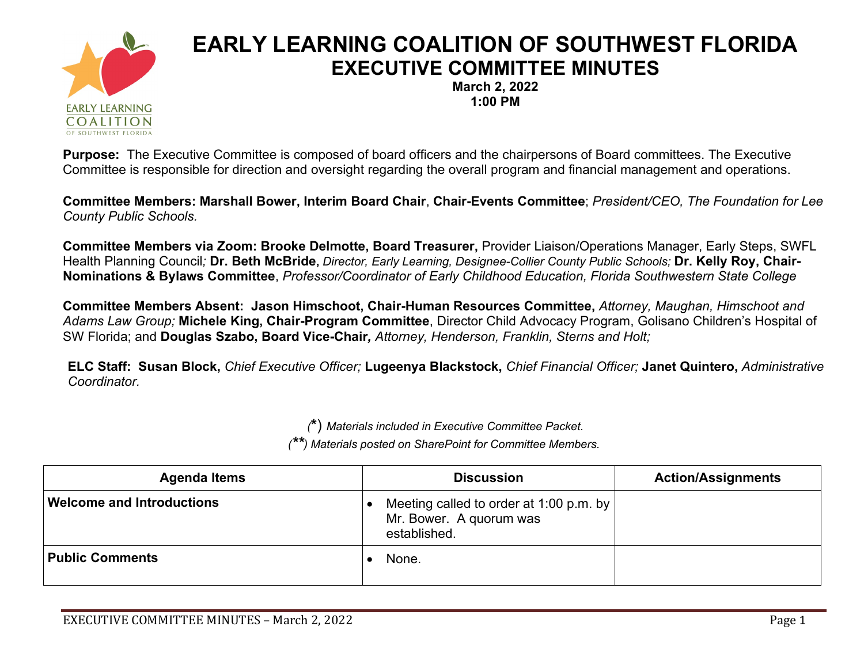

## **EARLY LEARNING COALITION OF SOUTHWEST FLORIDA EXECUTIVE COMMITTEE MINUTES**

**March 2, 2022 1:00 PM**

**Purpose:** The Executive Committee is composed of board officers and the chairpersons of Board committees. The Executive Committee is responsible for direction and oversight regarding the overall program and financial management and operations.

**Committee Members: Marshall Bower, Interim Board Chair**, **Chair-Events Committee**; *President/CEO, The Foundation for Lee County Public Schools.*

**Committee Members via Zoom: Brooke Delmotte, Board Treasurer,** Provider Liaison/Operations Manager, Early Steps, SWFL Health Planning Council; Dr. Beth McBride, Director, Early Learning, Designee-Collier County Public Schools; Dr. Kelly Roy, Chair-**Nominations & Bylaws Committee**, *Professor/Coordinator of Early Childhood Education, Florida Southwestern State College*

**Committee Members Absent: Jason Himschoot, Chair-Human Resources Committee,** *Attorney, Maughan, Himschoot and Adams Law Group;* **Michele King, Chair-Program Committee**, Director Child Advocacy Program, Golisano Children's Hospital of SW Florida; and **Douglas Szabo, Board Vice-Chair***, Attorney, Henderson, Franklin, Sterns and Holt;*

**ELC Staff: Susan Block,** *Chief Executive Officer;* **Lugeenya Blackstock,** *Chief Financial Officer;* **Janet Quintero,** *Administrative Coordinator.*

*(***\***) *Materials included in Executive Committee Packet.*

*(\*\*) Materials posted on SharePoint for Committee Members.*

| <b>Agenda Items</b>              | <b>Discussion</b>                                                                  | <b>Action/Assignments</b> |
|----------------------------------|------------------------------------------------------------------------------------|---------------------------|
| <b>Welcome and Introductions</b> | Meeting called to order at 1:00 p.m. by<br>Mr. Bower. A quorum was<br>established. |                           |
| <b>Public Comments</b>           | None.                                                                              |                           |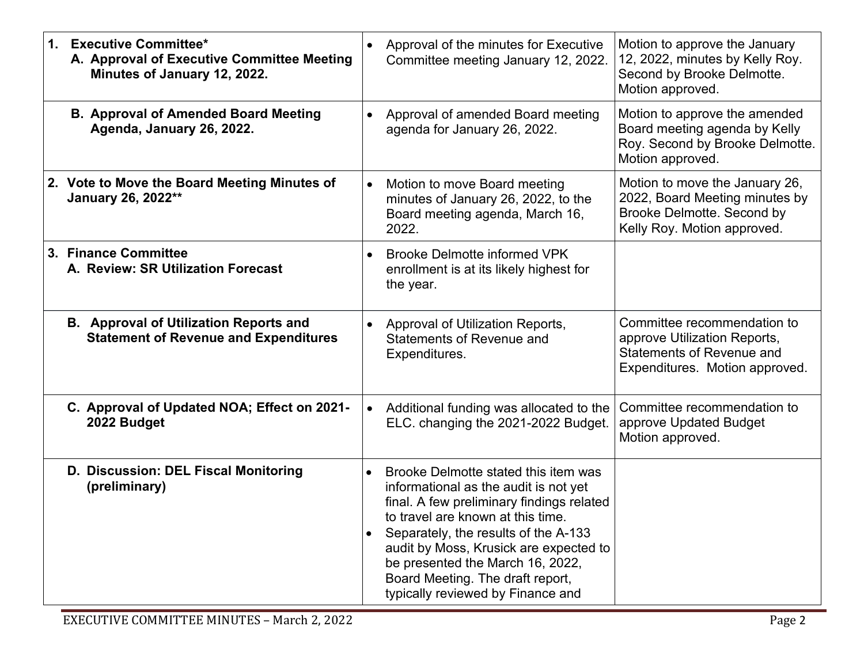| <b>Executive Committee*</b><br>1.<br>A. Approval of Executive Committee Meeting<br>Minutes of January 12, 2022. | Approval of the minutes for Executive<br>Committee meeting January 12, 2022.                                                                                                                                                                                                                                                                                                | Motion to approve the January<br>12, 2022, minutes by Kelly Roy.<br>Second by Brooke Delmotte.<br>Motion approved.                |
|-----------------------------------------------------------------------------------------------------------------|-----------------------------------------------------------------------------------------------------------------------------------------------------------------------------------------------------------------------------------------------------------------------------------------------------------------------------------------------------------------------------|-----------------------------------------------------------------------------------------------------------------------------------|
| <b>B. Approval of Amended Board Meeting</b><br>Agenda, January 26, 2022.                                        | Approval of amended Board meeting<br>$\bullet$<br>agenda for January 26, 2022.                                                                                                                                                                                                                                                                                              | Motion to approve the amended<br>Board meeting agenda by Kelly<br>Roy. Second by Brooke Delmotte.<br>Motion approved.             |
| 2. Vote to Move the Board Meeting Minutes of<br>January 26, 2022**                                              | Motion to move Board meeting<br>$\bullet$<br>minutes of January 26, 2022, to the<br>Board meeting agenda, March 16,<br>2022.                                                                                                                                                                                                                                                | Motion to move the January 26,<br>2022, Board Meeting minutes by<br>Brooke Delmotte. Second by<br>Kelly Roy. Motion approved.     |
| 3. Finance Committee<br>A. Review: SR Utilization Forecast                                                      | <b>Brooke Delmotte informed VPK</b><br>enrollment is at its likely highest for<br>the year.                                                                                                                                                                                                                                                                                 |                                                                                                                                   |
| <b>B.</b> Approval of Utilization Reports and<br><b>Statement of Revenue and Expenditures</b>                   | Approval of Utilization Reports,<br>$\bullet$<br><b>Statements of Revenue and</b><br>Expenditures.                                                                                                                                                                                                                                                                          | Committee recommendation to<br>approve Utilization Reports,<br><b>Statements of Revenue and</b><br>Expenditures. Motion approved. |
| C. Approval of Updated NOA; Effect on 2021-<br>2022 Budget                                                      | Additional funding was allocated to the<br>$\bullet$<br>ELC. changing the 2021-2022 Budget.                                                                                                                                                                                                                                                                                 | Committee recommendation to<br>approve Updated Budget<br>Motion approved.                                                         |
| D. Discussion: DEL Fiscal Monitoring<br>(preliminary)                                                           | Brooke Delmotte stated this item was<br>$\bullet$<br>informational as the audit is not yet<br>final. A few preliminary findings related<br>to travel are known at this time.<br>Separately, the results of the A-133<br>audit by Moss, Krusick are expected to<br>be presented the March 16, 2022,<br>Board Meeting. The draft report,<br>typically reviewed by Finance and |                                                                                                                                   |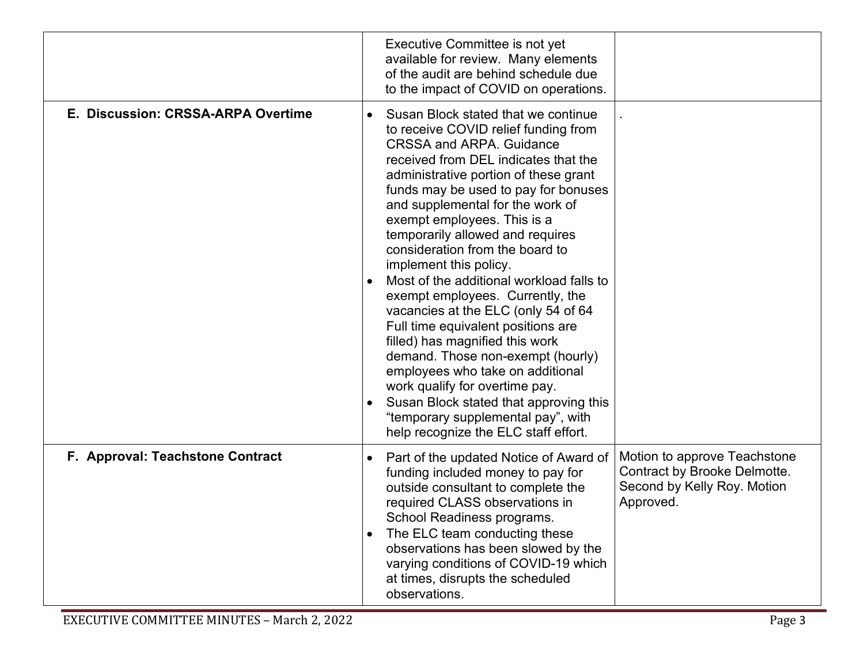|                                    | Executive Committee is not yet<br>available for review. Many elements<br>of the audit are behind schedule due<br>to the impact of COVID on operations.                                                                                                                                                                                                                                                                                                                                                                                                                                                                                                                                                                                                                                                                                                                   |                                                                                                          |
|------------------------------------|--------------------------------------------------------------------------------------------------------------------------------------------------------------------------------------------------------------------------------------------------------------------------------------------------------------------------------------------------------------------------------------------------------------------------------------------------------------------------------------------------------------------------------------------------------------------------------------------------------------------------------------------------------------------------------------------------------------------------------------------------------------------------------------------------------------------------------------------------------------------------|----------------------------------------------------------------------------------------------------------|
| E. Discussion: CRSSA-ARPA Overtime | Susan Block stated that we continue<br>$\bullet$<br>to receive COVID relief funding from<br><b>CRSSA and ARPA. Guidance</b><br>received from DEL indicates that the<br>administrative portion of these grant<br>funds may be used to pay for bonuses<br>and supplemental for the work of<br>exempt employees. This is a<br>temporarily allowed and requires<br>consideration from the board to<br>implement this policy.<br>Most of the additional workload falls to<br>$\bullet$<br>exempt employees. Currently, the<br>vacancies at the ELC (only 54 of 64<br>Full time equivalent positions are<br>filled) has magnified this work<br>demand. Those non-exempt (hourly)<br>employees who take on additional<br>work qualify for overtime pay.<br>Susan Block stated that approving this<br>"temporary supplemental pay", with<br>help recognize the ELC staff effort. |                                                                                                          |
| F. Approval: Teachstone Contract   | Part of the updated Notice of Award of<br>$\bullet$<br>funding included money to pay for<br>outside consultant to complete the<br>required CLASS observations in<br>School Readiness programs.<br>The ELC team conducting these<br>$\bullet$<br>observations has been slowed by the<br>varying conditions of COVID-19 which<br>at times, disrupts the scheduled<br>observations.                                                                                                                                                                                                                                                                                                                                                                                                                                                                                         | Motion to approve Teachstone<br>Contract by Brooke Delmotte.<br>Second by Kelly Roy. Motion<br>Approved. |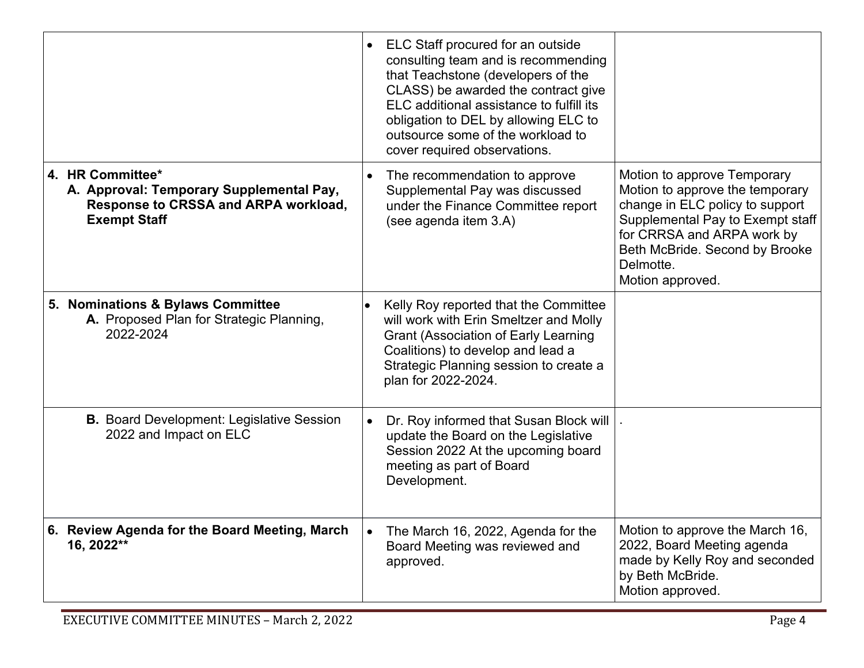|                                                                                                                             | ELC Staff procured for an outside<br>$\bullet$<br>consulting team and is recommending<br>that Teachstone (developers of the<br>CLASS) be awarded the contract give<br>ELC additional assistance to fulfill its<br>obligation to DEL by allowing ELC to<br>outsource some of the workload to<br>cover required observations. |                                                                                                                                                                                                                                        |
|-----------------------------------------------------------------------------------------------------------------------------|-----------------------------------------------------------------------------------------------------------------------------------------------------------------------------------------------------------------------------------------------------------------------------------------------------------------------------|----------------------------------------------------------------------------------------------------------------------------------------------------------------------------------------------------------------------------------------|
| 4. HR Committee*<br>A. Approval: Temporary Supplemental Pay,<br>Response to CRSSA and ARPA workload,<br><b>Exempt Staff</b> | The recommendation to approve<br>$\bullet$<br>Supplemental Pay was discussed<br>under the Finance Committee report<br>(see agenda item 3.A)                                                                                                                                                                                 | Motion to approve Temporary<br>Motion to approve the temporary<br>change in ELC policy to support<br>Supplemental Pay to Exempt staff<br>for CRRSA and ARPA work by<br>Beth McBride. Second by Brooke<br>Delmotte.<br>Motion approved. |
| 5. Nominations & Bylaws Committee<br>A. Proposed Plan for Strategic Planning,<br>2022-2024                                  | Kelly Roy reported that the Committee<br>will work with Erin Smeltzer and Molly<br><b>Grant (Association of Early Learning</b><br>Coalitions) to develop and lead a<br>Strategic Planning session to create a<br>plan for 2022-2024.                                                                                        |                                                                                                                                                                                                                                        |
| <b>B.</b> Board Development: Legislative Session<br>2022 and Impact on ELC                                                  | Dr. Roy informed that Susan Block will<br>$\bullet$<br>update the Board on the Legislative<br>Session 2022 At the upcoming board<br>meeting as part of Board<br>Development.                                                                                                                                                |                                                                                                                                                                                                                                        |
| 6. Review Agenda for the Board Meeting, March<br>16, 2022**                                                                 | The March 16, 2022, Agenda for the<br>$\bullet$<br>Board Meeting was reviewed and<br>approved.                                                                                                                                                                                                                              | Motion to approve the March 16,<br>2022, Board Meeting agenda<br>made by Kelly Roy and seconded<br>by Beth McBride.<br>Motion approved.                                                                                                |